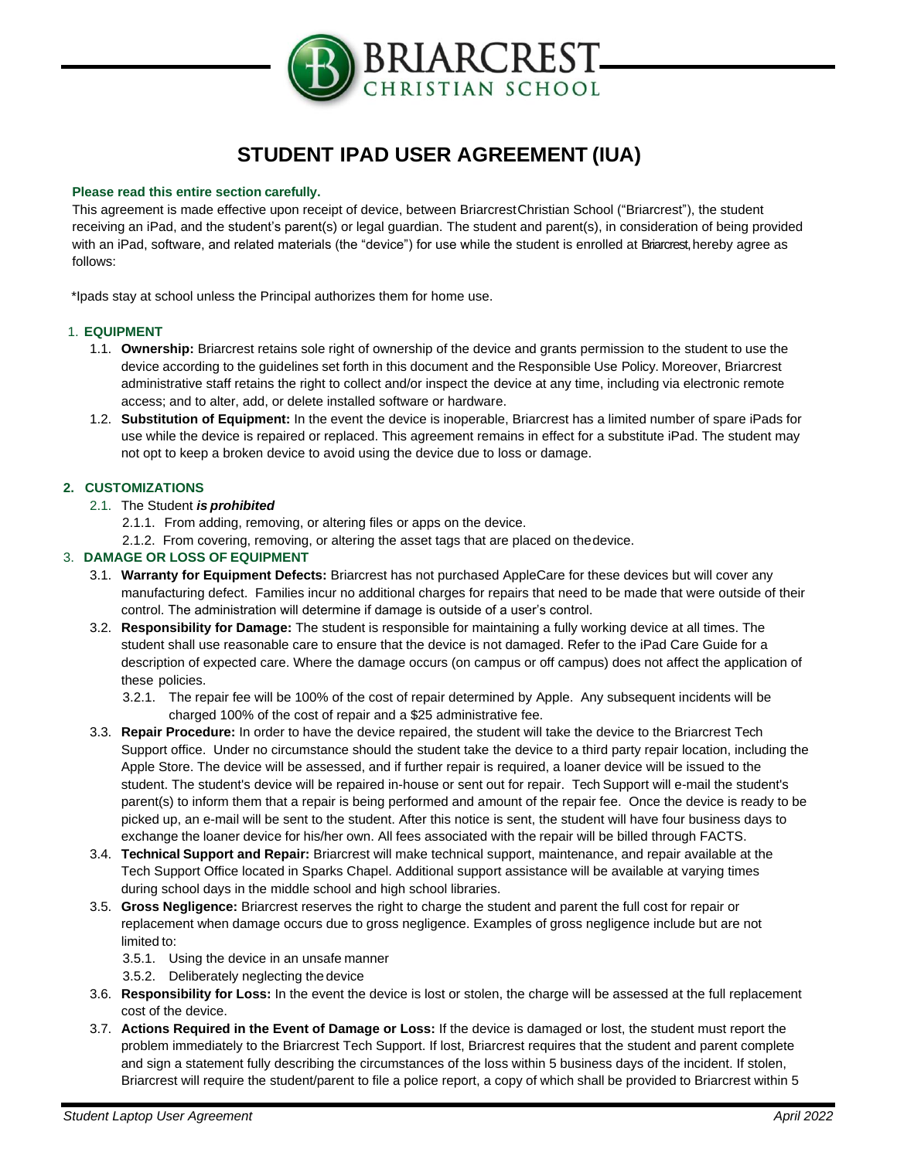

# **STUDENT IPAD USER AGREEMENT (IUA)**

#### **Please read this entire section carefully.**

This agreement is made effective upon receipt of device, between BriarcrestChristian School ("Briarcrest"), the student receiving an iPad, and the student's parent(s) or legal guardian. The student and parent(s), in consideration of being provided with an iPad, software, and related materials (the "device") for use while the student is enrolled at Briarcrest, hereby agree as follows:

\*Ipads stay at school unless the Principal authorizes them for home use.

## 1. **EQUIPMENT**

- 1.1. **Ownership:** Briarcrest retains sole right of ownership of the device and grants permission to the student to use the device according to the guidelines set forth in this document and the Responsible Use Policy. Moreover, Briarcrest administrative staff retains the right to collect and/or inspect the device at any time, including via electronic remote access; and to alter, add, or delete installed software or hardware.
- 1.2. **Substitution of Equipment:** In the event the device is inoperable, Briarcrest has a limited number of spare iPads for use while the device is repaired or replaced. This agreement remains in effect for a substitute iPad. The student may not opt to keep a broken device to avoid using the device due to loss or damage.

## **2. CUSTOMIZATIONS**

## 2.1. The Student *is prohibited*

- 2.1.1. From adding, removing, or altering files or apps on the device.
- 2.1.2. From covering, removing, or altering the asset tags that are placed on thedevice.

## 3. **DAMAGE OR LOSS OF EQUIPMENT**

- 3.1. **Warranty for Equipment Defects:** Briarcrest has not purchased AppleCare for these devices but will cover any manufacturing defect. Families incur no additional charges for repairs that need to be made that were outside of their control. The administration will determine if damage is outside of a user's control.
- 3.2. **Responsibility for Damage:** The student is responsible for maintaining a fully working device at all times. The student shall use reasonable care to ensure that the device is not damaged. Refer to the iPad Care Guide for a description of expected care. Where the damage occurs (on campus or off campus) does not affect the application of these policies.
	- 3.2.1. The repair fee will be 100% of the cost of repair determined by Apple. Any subsequent incidents will be charged 100% of the cost of repair and a \$25 administrative fee.
- 3.3. **Repair Procedure:** In order to have the device repaired, the student will take the device to the Briarcrest Tech Support office. Under no circumstance should the student take the device to a third party repair location, including the Apple Store. The device will be assessed, and if further repair is required, a loaner device will be issued to the student. The student's device will be repaired in-house or sent out for repair. Tech Support will e-mail the student's parent(s) to inform them that a repair is being performed and amount of the repair fee. Once the device is ready to be picked up, an e-mail will be sent to the student. After this notice is sent, the student will have four business days to exchange the loaner device for his/her own. All fees associated with the repair will be billed through FACTS.
- 3.4. **Technical Support and Repair:** Briarcrest will make technical support, maintenance, and repair available at the Tech Support Office located in Sparks Chapel. Additional support assistance will be available at varying times during school days in the middle school and high school libraries.
- 3.5. **Gross Negligence:** Briarcrest reserves the right to charge the student and parent the full cost for repair or replacement when damage occurs due to gross negligence. Examples of gross negligence include but are not limited to:
	- 3.5.1. Using the device in an unsafe manner
	- 3.5.2. Deliberately neglecting the device
- 3.6. **Responsibility for Loss:** In the event the device is lost or stolen, the charge will be assessed at the full replacement cost of the device.
- 3.7. **Actions Required in the Event of Damage or Loss:** If the device is damaged or lost, the student must report the problem immediately to the Briarcrest Tech Support. If lost, Briarcrest requires that the student and parent complete and sign a statement fully describing the circumstances of the loss within 5 business days of the incident. If stolen, Briarcrest will require the student/parent to file a police report, a copy of which shall be provided to Briarcrest within 5